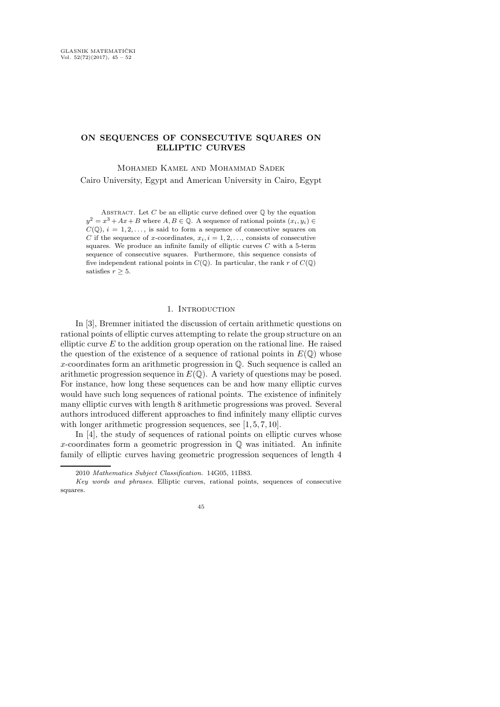# ON SEQUENCES OF CONSECUTIVE SQUARES ON ELLIPTIC CURVES

Mohamed Kamel and Mohammad Sadek

Cairo University, Egypt and American University in Cairo, Egypt

ABSTRACT. Let C be an elliptic curve defined over  $\mathbb O$  by the equation  $y^2 = x^3 + Ax + B$  where  $A, B \in \mathbb{Q}$ . A sequence of rational points  $(x_i, y_i) \in$  $C(\mathbb{Q}), i = 1, 2, \ldots$ , is said to form a sequence of consecutive squares on C if the sequence of x-coordinates,  $x_i$ ,  $i = 1, 2, \ldots$ , consists of consecutive squares. We produce an infinite family of elliptic curves  $C$  with a 5-term sequence of consecutive squares. Furthermore, this sequence consists of five independent rational points in  $C(\mathbb{Q})$ . In particular, the rank r of  $C(\mathbb{Q})$ satisfies  $r \geq 5$ .

# 1. INTRODUCTION

In [3], Bremner initiated the discussion of certain arithmetic questions on rational points of elliptic curves attempting to relate the group structure on an elliptic curve  $E$  to the addition group operation on the rational line. He raised the question of the existence of a sequence of rational points in  $E(\mathbb{Q})$  whose x-coordinates form an arithmetic progression in Q. Such sequence is called an arithmetic progression sequence in  $E(\mathbb{Q})$ . A variety of questions may be posed. For instance, how long these sequences can be and how many elliptic curves would have such long sequences of rational points. The existence of infinitely many elliptic curves with length 8 arithmetic progressions was proved. Several authors introduced different approaches to find infinitely many elliptic curves with longer arithmetic progression sequences, see [1, 5, 7, 10].

In [4], the study of sequences of rational points on elliptic curves whose x-coordinates form a geometric progression in  $\mathbb Q$  was initiated. An infinite family of elliptic curves having geometric progression sequences of length 4

<sup>2010</sup> Mathematics Subject Classification. 14G05, 11B83.

Key words and phrases. Elliptic curves, rational points, sequences of consecutive squares.

<sup>45</sup>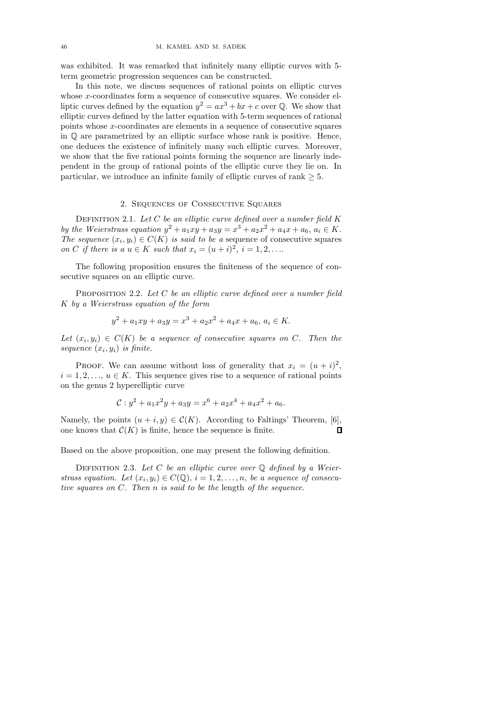was exhibited. It was remarked that infinitely many elliptic curves with 5 term geometric progression sequences can be constructed.

In this note, we discuss sequences of rational points on elliptic curves whose x-coordinates form a sequence of consecutive squares. We consider elliptic curves defined by the equation  $y^2 = ax^3 + bx + c$  over Q. We show that elliptic curves defined by the latter equation with 5-term sequences of rational points whose x-coordinates are elements in a sequence of consecutive squares in  $\mathbb{O}$  are parametrized by an elliptic surface whose rank is positive. Hence, one deduces the existence of infinitely many such elliptic curves. Moreover, we show that the five rational points forming the sequence are linearly independent in the group of rational points of the elliptic curve they lie on. In particular, we introduce an infinite family of elliptic curves of rank  $\geq 5$ .

## 2. Sequences of Consecutive Squares

DEFINITION 2.1. Let  $C$  be an elliptic curve defined over a number field  $K$ by the Weierstrass equation  $y^2 + a_1xy + a_3y = x^3 + a_2x^2 + a_4x + a_6, a_i \in K$ . The sequence  $(x_i, y_i) \in C(K)$  is said to be a sequence of consecutive squares on C if there is a  $u \in K$  such that  $x_i = (u + i)^2$ ,  $i = 1, 2, \ldots$ 

The following proposition ensures the finiteness of the sequence of consecutive squares on an elliptic curve.

PROPOSITION 2.2. Let C be an elliptic curve defined over a number field K by a Weierstrass equation of the form

$$
y^{2} + a_{1}xy + a_{3}y = x^{3} + a_{2}x^{2} + a_{4}x + a_{6}, a_{i} \in K.
$$

Let  $(x_i, y_i) \in C(K)$  be a sequence of consecutive squares on C. Then the sequence  $(x_i, y_i)$  is finite.

PROOF. We can assume without loss of generality that  $x_i = (u + i)^2$ ,  $i = 1, 2, \ldots, u \in K$ . This sequence gives rise to a sequence of rational points on the genus 2 hyperelliptic curve

$$
\mathcal{C}: y^2 + a_1 x^2 y + a_3 y = x^6 + a_2 x^4 + a_4 x^2 + a_6.
$$

Namely, the points  $(u + i, y) \in \mathcal{C}(K)$ . According to Faltings' Theorem, [6], one knows that  $\mathcal{C}(K)$  is finite, hence the sequence is finite.  $\mathbf{\mathsf{u}}$ 

Based on the above proposition, one may present the following definition.

DEFINITION 2.3. Let C be an elliptic curve over  $\mathbb Q$  defined by a Weierstrass equation. Let  $(x_i, y_i) \in C(\mathbb{Q}), i = 1, 2, \ldots, n$ , be a sequence of consecutive squares on C. Then n is said to be the length of the sequence.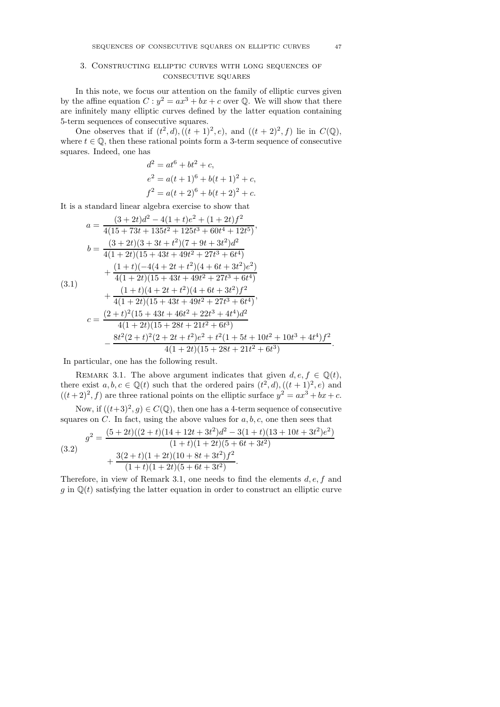## 3. Constructing elliptic curves with long sequences of consecutive squares

In this note, we focus our attention on the family of elliptic curves given by the affine equation  $C: y^2 = ax^3 + bx + c$  over Q. We will show that there are infinitely many elliptic curves defined by the latter equation containing 5-term sequences of consecutive squares.

One observes that if  $(t^2, d)$ ,  $((t + 1)^2, e)$ , and  $((t + 2)^2, f)$  lie in  $C(\mathbb{Q})$ , where  $t \in \mathbb{Q}$ , then these rational points form a 3-term sequence of consecutive squares. Indeed, one has

$$
d2 = at6 + bt2 + c,
$$
  
\n
$$
e2 = a(t + 1)6 + b(t + 1)2 + c,
$$
  
\n
$$
f2 = a(t + 2)6 + b(t + 2)2 + c.
$$

It is a standard linear algebra exercise to show that

$$
a = \frac{(3+2t)d^2 - 4(1+t)e^2 + (1+2t)f^2}{4(15+73t+135t^2+125t^3+60t^4+12t^5)},
$$
  
\n
$$
b = \frac{(3+2t)(3+3t+t^2)(7+9t+3t^2)d^2}{4(1+2t)(15+43t+49t^2+27t^3+6t^4)}
$$
  
\n
$$
+ \frac{(1+t)(-4(4+2t+t^2)(4+6t+3t^2)e^2)}{4(1+2t)(15+43t+49t^2+27t^3+6t^4)}
$$
  
\n
$$
+ \frac{(1+t)(4+2t+t^2)(4+6t+3t^2)f^2}{4(1+2t)(15+43t+49t^2+27t^3+6t^4)},
$$
  
\n
$$
c = \frac{(2+t)^2(15+43t+46t^2+22t^3+4t^4)d^2}{4(1+2t)(15+28t+21t^2+6t^3)}
$$
  
\n
$$
- \frac{8t^2(2+t)^2(2+2t+t^2)e^2+t^2(1+5t+10t^2+10t^3+4t^4)f^2}{4(1+2t)(15+28t+21t^2+6t^3)}
$$

In particular, one has the following result.

REMARK 3.1. The above argument indicates that given  $d, e, f \in \mathbb{Q}(t)$ , there exist  $a, b, c \in \mathbb{Q}(t)$  such that the ordered pairs  $(t^2, d), ((t + 1)^2, e)$  and  $((t+2)^2, f)$  are three rational points on the elliptic surface  $y^2 = ax^3 + bx + c$ .

Now, if  $((t+3)^2, g) \in C(\mathbb{Q})$ , then one has a 4-term sequence of consecutive squares on  $C$ . In fact, using the above values for  $a, b, c$ , one then sees that

(3.2)  
\n
$$
g^{2} = \frac{(5+2t)((2+t)(14+12t+3t^{2})d^{2}-3(1+t)(13+10t+3t^{2})e^{2})}{(1+t)(1+2t)(5+6t+3t^{2})} + \frac{3(2+t)(1+2t)(10+8t+3t^{2})f^{2}}{(1+t)(1+2t)(5+6t+3t^{2})}.
$$

Therefore, in view of Remark 3.1, one needs to find the elements  $d, e, f$  and g in  $\mathbb{Q}(t)$  satisfying the latter equation in order to construct an elliptic curve

.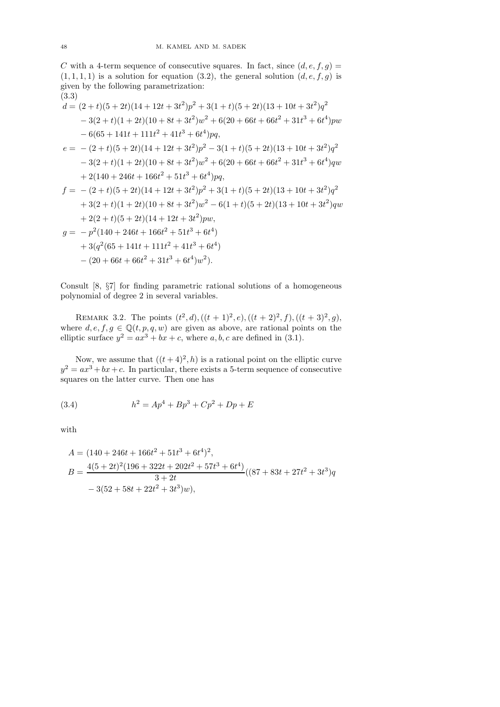C with a 4-term sequence of consecutive squares. In fact, since  $(d, e, f, g)$  =  $(1, 1, 1, 1)$  is a solution for equation  $(3.2)$ , the general solution  $(d, e, f, g)$  is given by the following parametrization:

$$
(3.3)
$$
\n
$$
d = (2 + t)(5 + 2t)(14 + 12t + 3t^2)p^2 + 3(1 + t)(5 + 2t)(13 + 10t + 3t^2)q^2
$$
\n
$$
- 3(2 + t)(1 + 2t)(10 + 8t + 3t^2)w^2 + 6(20 + 66t + 66t^2 + 31t^3 + 6t^4)pw
$$
\n
$$
- 6(65 + 141t + 111t^2 + 41t^3 + 6t^4)pq,
$$
\n
$$
e = -(2 + t)(5 + 2t)(14 + 12t + 3t^2)p^2 - 3(1 + t)(5 + 2t)(13 + 10t + 3t^2)q^2
$$
\n
$$
- 3(2 + t)(1 + 2t)(10 + 8t + 3t^2)w^2 + 6(20 + 66t + 66t^2 + 31t^3 + 6t^4)qw
$$
\n
$$
+ 2(140 + 246t + 166t^2 + 51t^3 + 6t^4)pq,
$$
\n
$$
f = -(2 + t)(5 + 2t)(14 + 12t + 3t^2)p^2 + 3(1 + t)(5 + 2t)(13 + 10t + 3t^2)q^2
$$
\n
$$
+ 3(2 + t)(1 + 2t)(10 + 8t + 3t^2)w^2 - 6(1 + t)(5 + 2t)(13 + 10t + 3t^2)qw
$$
\n
$$
+ 2(2 + t)(5 + 2t)(14 + 12t + 3t^2)pw,
$$
\n
$$
g = -p^2(140 + 246t + 166t^2 + 51t^3 + 6t^4)
$$
\n
$$
+ 3(q^2(65 + 141t + 111t^2 + 41t^3 + 6t^4)
$$
\n
$$
- (20 + 66t + 66t^2 + 31t^3 + 6t^4)w^2).
$$

Consult [8, §7] for finding parametric rational solutions of a homogeneous polynomial of degree 2 in several variables.

REMARK 3.2. The points  $(t^2, d), ((t + 1)^2, e), ((t + 2)^2, f), ((t + 3)^2, g),$ where  $d, e, f, g \in \mathbb{Q}(t, p, q, w)$  are given as above, are rational points on the elliptic surface  $y^2 = ax^3 + bx + c$ , where a, b, c are defined in (3.1).

Now, we assume that  $((t+4)^2, h)$  is a rational point on the elliptic curve  $y^2 = ax^3 + bx + c$ . In particular, there exists a 5-term sequence of consecutive squares on the latter curve. Then one has

(3.4) 
$$
h^2 = Ap^4 + Bp^3 + Cp^2 + Dp + E
$$

with

$$
A = (140 + 246t + 166t2 + 51t3 + 6t4)2,
$$
  
\n
$$
B = \frac{4(5 + 2t)2(196 + 322t + 202t2 + 57t3 + 6t4)}{3 + 2t}((87 + 83t + 27t2 + 3t3)q
$$
  
\n
$$
-3(52 + 58t + 22t2 + 3t3)w),
$$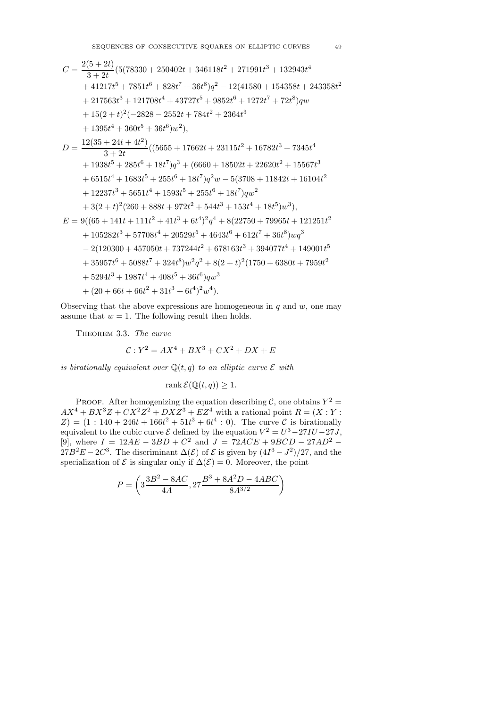$$
C = \frac{2(5+2t)}{3+2t} (5(78330+250402t+346118t^2+271991t^3+132943t^4+41217t^5+7851t^6+828t^7+36t^8)q^2-12(41580+154358t+243358t^2+217563t^3+121708t^4+43727t^5+9852t^6+1272t^7+72t^8)qw+15(2+t)^2(-2828-2552t+784t^2+2364t^3+1395t^4+360t^5+36t^6)w^2),
$$
D = \frac{12(35+24t+4t^2)}{3+2t} ((5655+17662t+23115t^2+16782t^3+7345t^4+1938t^5+285t^6+18t^7)q^3+ (6660+18502t+22620t^2+15567t^3+6515t^4+1683t^5+255t^6+18t^7)q^2w-5(3708+11842t+16104t^2+12237t^3+5651t^4+1593t^5+255t^6+18t^7)qw^2+3(2+t)^2(260+888t+972t^2+544t^3+153t^4+18t^5)w^3),
$$
E = 9((65+141t+111t^2+41t^3+6t^4)^2q^4+8(22750+79965t+121251t^2+105282t^3+57708t^4+20529t^5+4643t^6+612t^7+36t^8)wq^3
$$
-2(120300+457050t+737244t^2+678163t^3+394077t^4+149001t^5  
+35957t^6+5088t^7+324t^8)w^2q^2+8(2+t)^2(1750+6380t+7959t
$$
$$

Observing that the above expressions are homogeneous in  $q$  and  $w$ , one may assume that  $w = 1$ . The following result then holds.

THEOREM 3.3. The curve

$$
\mathcal{C}: Y^2 = AX^4 + BX^3 + CX^2 + DX + E
$$

is birationally equivalent over  $\mathbb{Q}(t,q)$  to an elliptic curve  $\mathcal E$  with

$$
rank \mathcal{E}(\mathbb{Q}(t,q)) \ge 1.
$$

PROOF. After homogenizing the equation describing  $\mathcal{C}$ , one obtains  $Y^2 =$  $AX^4 + BX^3Z + CX^2Z^2 + DXZ^3 + EZ^4$  with a rational point  $R = (X:Y:Y)$  $Z$ ) = (1 : 140 + 246t + 166t<sup>2</sup> + 51t<sup>3</sup> + 6t<sup>4</sup> : 0). The curve C is birationally equivalent to the cubic curve  $\mathcal E$  defined by the equation  $V^2 = U^3 - 27IU - 27J$ , [9], where  $I = 12AE - 3BD + C^2$  and  $J = 72ACE + 9BCD - 27AD^2 27B^2E - 2C^3$ . The discriminant  $\Delta(\mathcal{E})$  of  $\mathcal{E}$  is given by  $(4I^3 - J^2)/27$ , and the specialization of  $\mathcal E$  is singular only if  $\Delta(\mathcal E)=0$ . Moreover, the point

$$
P=\left(3\frac{3B^2-8AC}{4A}, 27\frac{B^3+8A^2D-4ABC}{8A^{3/2}}\right)
$$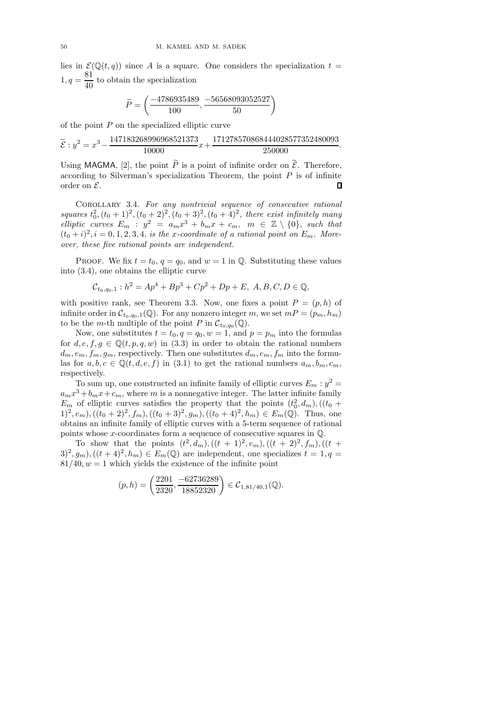lies in  $\mathcal{E}(\mathbb{Q}(t,q))$  since A is a square. One considers the specialization  $t =$  $1, q = \frac{81}{10}$  $\frac{64}{40}$  to obtain the specialization

$$
\widetilde{P}=\left(\frac{-4786935489}{100},\frac{-56568093052527}{50}\right)
$$

of the point  $P$  on the specialized elliptic curve

$$
\widetilde{\mathcal{E}}: y^2 = x^3 - \frac{147183268996968521373}{10000}x + \frac{171278570868444028577352480093}{250000}.
$$

Using MAGMA, [2], the point  $\widetilde{P}$  is a point of infinite order on  $\widetilde{\mathcal{E}}$ . Therefore, according to Silverman's specialization Theorem, the point  $P$  is of infinite order on  $\mathcal{E}$ . П

COROLLARY 3.4. For any nontrivial sequence of consecutive rational squares  $t_0^2$ ,  $(t_0 + 1)^2$ ,  $(t_0 + 2)^2$ ,  $(t_0 + 3)^2$ ,  $(t_0 + 4)^2$ , there exist infinitely many elliptic curves  $E_m$ :  $y^2 = a_m x^3 + b_m x + c_m$ ,  $m \in \mathbb{Z} \setminus \{0\}$ , such that  $(t_0+i)^2$ ,  $i=0,1,2,3,4$ , is the x-coordinate of a rational point on  $E_m$ . Moreover, these five rational points are independent.

PROOF. We fix  $t = t_0$ ,  $q = q_0$ , and  $w = 1$  in  $\mathbb{Q}$ . Substituting these values into (3.4), one obtains the elliptic curve

$$
\mathcal{C}_{t_0,q_0,1}: h^2 = Ap^4 + Bp^3 + Cp^2 + Dp + E, A, B, C, D \in \mathbb{Q},
$$

with positive rank, see Theorem 3.3. Now, one fixes a point  $P = (p, h)$  of infinite order in  $\mathcal{C}_{t_0,q_0,1}(\mathbb{Q})$ . For any nonzero integer m, we set  $mP = (p_m, h_m)$ to be the *m*-th multiple of the point P in  $\mathcal{C}_{t_0,q_0}(\mathbb{Q})$ .

Now, one substitutes  $t = t_0, q = q_0, w = 1$ , and  $p = p_m$  into the formulas for  $d, e, f, g \in \mathbb{Q}(t, p, q, w)$  in (3.3) in order to obtain the rational numbers  $d_m, e_m, f_m, g_m$ , respectively. Then one substitutes  $d_m, e_m, f_m$  into the formulas for  $a, b, c \in \mathbb{Q}(t, d, e, f)$  in (3.1) to get the rational numbers  $a_m, b_m, c_m$ , respectively.

To sum up, one constructed an infinite family of elliptic curves  $E_m : y^2 =$  $a_m x^3 + b_m x + c_m$ , where m is a nonnegative integer. The latter infinite family  $E_m$  of elliptic curves satisfies the property that the points  $(t_0^2, d_m)$ ,  $((t_0 +$  $(1)^2, e_m),((t_0+2)^2, f_m),((t_0+3)^2, g_m),((t_0+4)^2, h_m) \in E_m(\mathbb{Q})$ . Thus, one obtains an infinite family of elliptic curves with a 5-term sequence of rational points whose x-coordinates form a sequence of consecutive squares in Q.

To show that the points  $(t^2, d_m)$ ,  $((t + 1)^2, e_m)$ ,  $((t + 2)^2, f_m)$ ,  $((t +$  $(3)^2, g_m),((t+4)^2, h_m) \in E_m(\mathbb{Q})$  are independent, one specializes  $t = 1, q =$  $81/40, w = 1$  which yields the existence of the infinite point

$$
(p,h) = \left(\frac{2201}{2320}, \frac{-62736289}{18852320}\right) \in \mathcal{C}_{1,81/40,1}(\mathbb{Q}).
$$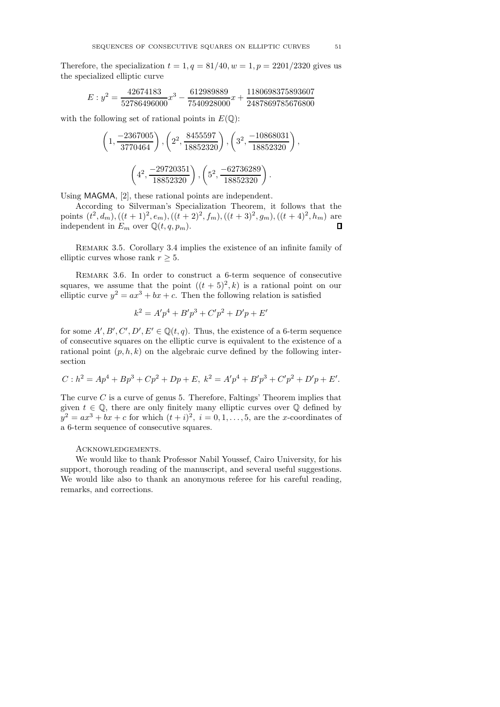Therefore, the specialization  $t = 1, q = 81/40, w = 1, p = 2201/2320$  gives us the specialized elliptic curve

$$
E: y^2 = \frac{42674183}{52786496000}x^3 - \frac{612989889}{7540928000}x + \frac{1180698375893607}{2487869785676800}
$$

with the following set of rational points in  $E(\mathbb{Q})$ :

$$
\left(1, \frac{-2367005}{3770464}\right), \left(2^2, \frac{8455597}{18852320}\right), \left(3^2, \frac{-10868031}{18852320}\right)
$$

$$
\left(4^2, \frac{-29720351}{18852320}\right), \left(5^2, \frac{-62736289}{18852320}\right).
$$

Using MAGMA, [2], these rational points are independent.

According to Silverman's Specialization Theorem, it follows that the points  $(t^2, d_m)$ ,  $((t + 1)^2, e_m)$ ,  $((t + 2)^2, f_m)$ ,  $((t + 3)^2, g_m)$ ,  $((t + 4)^2, h_m)$  are independent in  $E_m$  over  $\mathbb{Q}(t, q, p_m)$ .  $\Box$ 

Remark 3.5. Corollary 3.4 implies the existence of an infinite family of elliptic curves whose rank  $r \geq 5$ .

REMARK 3.6. In order to construct a 6-term sequence of consecutive squares, we assume that the point  $((t+5)^2, k)$  is a rational point on our elliptic curve  $y^2 = ax^3 + bx + c$ . Then the following relation is satisfied

$$
k^2 = A'p^4 + B'p^3 + C'p^2 + D'p + E'
$$

for some  $A', B', C', D', E' \in \mathbb{Q}(t, q)$ . Thus, the existence of a 6-term sequence of consecutive squares on the elliptic curve is equivalent to the existence of a rational point  $(p, h, k)$  on the algebraic curve defined by the following intersection

$$
C: h^2 = Ap^4 + Bp^3 + Cp^2 + Dp + E, \; k^2 = A'p^4 + B'p^3 + C'p^2 + D'p + E'.
$$

The curve  $C$  is a curve of genus 5. Therefore, Faltings' Theorem implies that given  $t \in \mathbb{Q}$ , there are only finitely many elliptic curves over  $\mathbb Q$  defined by  $y^2 = ax^3 + bx + c$  for which  $(t + i)^2$ ,  $i = 0, 1, ..., 5$ , are the x-coordinates of a 6-term sequence of consecutive squares.

#### Acknowledgements.

We would like to thank Professor Nabil Youssef, Cairo University, for his support, thorough reading of the manuscript, and several useful suggestions. We would like also to thank an anonymous referee for his careful reading, remarks, and corrections.

,